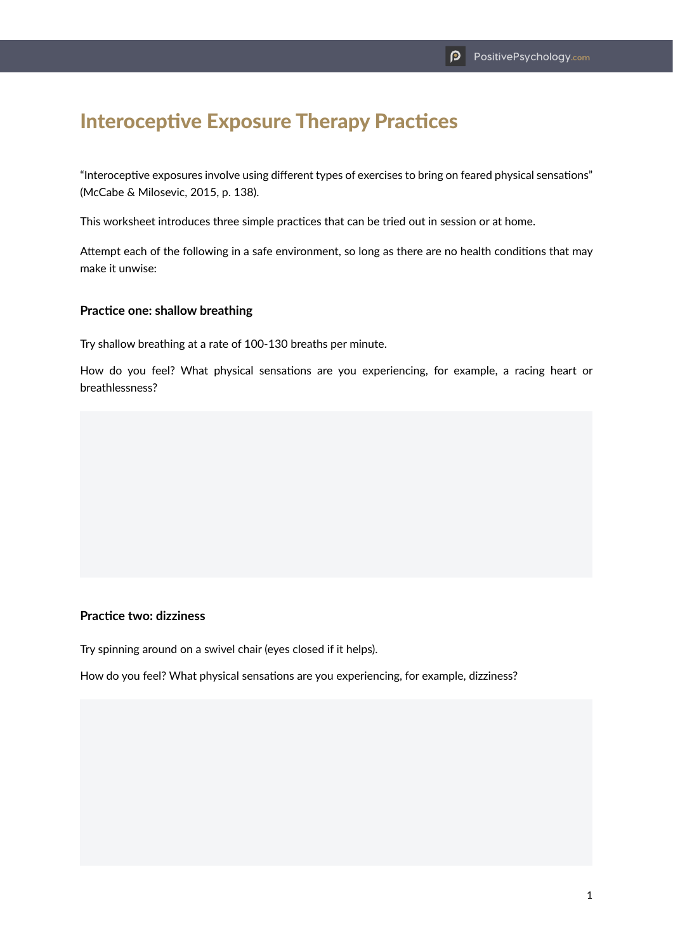# Interoceptive Exposure Therapy Practices

"Interoceptive exposures involve using different types of exercises to bring on feared physical sensations" (McCabe & Milosevic, 2015, p. 138).

This worksheet introduces three simple practices that can be tried out in session or at home.

Attempt each of the following in a safe environment, so long as there are no health conditions that may make it unwise:

### **Practice one: shallow breathing**

Try shallow breathing at a rate of 100-130 breaths per minute.

How do you feel? What physical sensations are you experiencing, for example, a racing heart or breathlessness?

#### **Practice two: dizziness**

Try spinning around on a swivel chair (eyes closed if it helps).

How do you feel? What physical sensations are you experiencing, for example, dizziness?